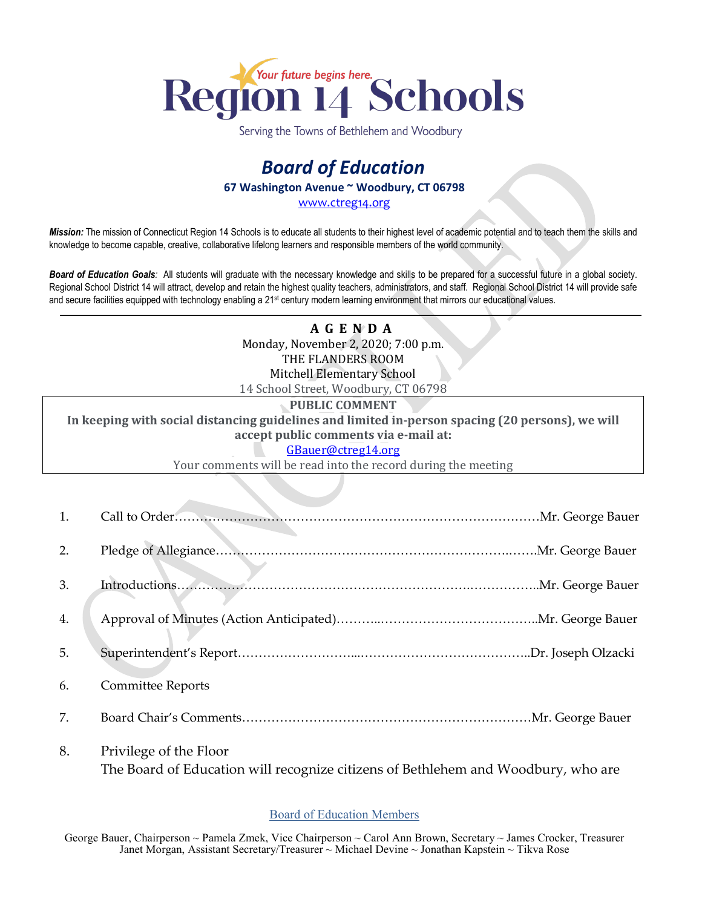

Serving the Towns of Bethlehem and Woodbury

## *Board of Education* **67 Washington Avenue ~ Woodbury, CT 06798**

[www.ctreg14.org](http://www.ctreg14.org/)

*Mission:* The mission of Connecticut Region 14 Schools is to educate all students to their highest level of academic potential and to teach them the skills and knowledge to become capable, creative, collaborative lifelong learners and responsible members of the world community.

*Board of Education Goals:* All students will graduate with the necessary knowledge and skills to be prepared for a successful future in a global society. Regional School District 14 will attract, develop and retain the highest quality teachers, administrators, and staff. Regional School District 14 will provide safe and secure facilities equipped with technology enabling a 21<sup>st</sup> century modern learning environment that mirrors our educational values.

> **A G E N D A** Monday, November 2, 2020; 7:00 p.m. THE FLANDERS ROOM Mitchell Elementary School 14 School Street, Woodbury, CT 06798

**PUBLIC COMMENT**

**In keeping with social distancing guidelines and limited in-person spacing (20 persons), we will accept public comments via e-mail at:**

## [GBauer@ctreg14.org](mailto:GBauer@ctreg14.org)

Your comments will be read into the record during the meeting

| 1. |                                                                                                             |  |
|----|-------------------------------------------------------------------------------------------------------------|--|
| 2. |                                                                                                             |  |
| 3. |                                                                                                             |  |
| 4. |                                                                                                             |  |
| 5. |                                                                                                             |  |
| 6. | <b>Committee Reports</b>                                                                                    |  |
| 7. |                                                                                                             |  |
| 8. | Privilege of the Floor<br>The Board of Education will recognize citizens of Bethlehem and Woodbury, who are |  |

## Board of Education Members

George Bauer, Chairperson ~ Pamela Zmek, Vice Chairperson ~ Carol Ann Brown, Secretary ~ James Crocker, Treasurer Janet Morgan, Assistant Secretary/Treasurer ~ Michael Devine ~ Jonathan Kapstein ~ Tikva Rose